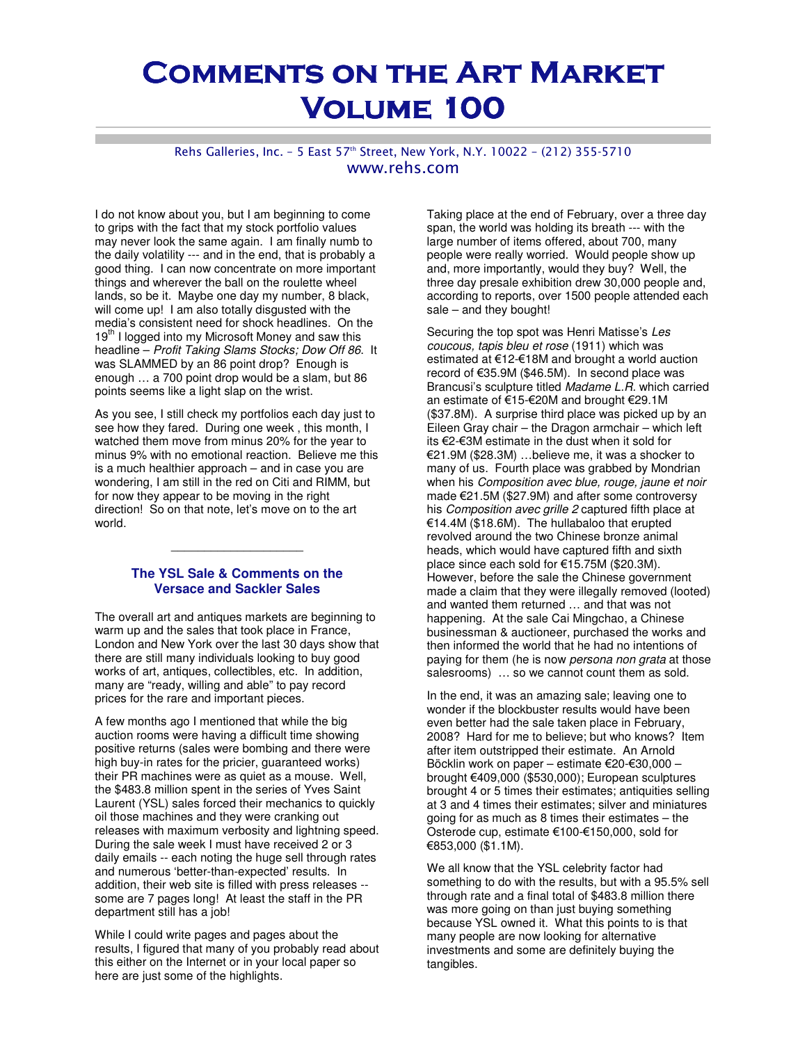# **COMMENTS ON THE ART MARKET** Volume 100

## Rehs Galleries, Inc. - 5 East 57<sup>th</sup> Street, New York, N.Y. 10022 - (212) 355-5710 www.rehs.com

I do not know about you, but I am beginning to come to grips with the fact that my stock portfolio values may never look the same again. I am finally numb to the daily volatility --- and in the end, that is probably a good thing. I can now concentrate on more important things and wherever the ball on the roulette wheel lands, so be it. Maybe one day my number, 8 black, will come up! I am also totally disgusted with the media's consistent need for shock headlines. On the  $19<sup>th</sup>$  I logged into my Microsoft Money and saw this headline – Profit Taking Slams Stocks; Dow Off 86. It was SLAMMED by an 86 point drop? Enough is enough … a 700 point drop would be a slam, but 86 points seems like a light slap on the wrist.

As you see, I still check my portfolios each day just to see how they fared. During one week , this month, I watched them move from minus 20% for the year to minus 9% with no emotional reaction. Believe me this is a much healthier approach – and in case you are wondering, I am still in the red on Citi and RIMM, but for now they appear to be moving in the right direction! So on that note, let's move on to the art world.

## **The YSL Sale & Comments on the Versace and Sackler Sales**

 $\_$ 

The overall art and antiques markets are beginning to warm up and the sales that took place in France, London and New York over the last 30 days show that there are still many individuals looking to buy good works of art, antiques, collectibles, etc. In addition, many are "ready, willing and able" to pay record prices for the rare and important pieces.

A few months ago I mentioned that while the big auction rooms were having a difficult time showing positive returns (sales were bombing and there were high buy-in rates for the pricier, guaranteed works) their PR machines were as quiet as a mouse. Well, the \$483.8 million spent in the series of Yves Saint Laurent (YSL) sales forced their mechanics to quickly oil those machines and they were cranking out releases with maximum verbosity and lightning speed. During the sale week I must have received 2 or 3 daily emails -- each noting the huge sell through rates and numerous 'better-than-expected' results. In addition, their web site is filled with press releases - some are 7 pages long! At least the staff in the PR department still has a job!

While I could write pages and pages about the results, I figured that many of you probably read about this either on the Internet or in your local paper so here are just some of the highlights.

Taking place at the end of February, over a three day span, the world was holding its breath --- with the large number of items offered, about 700, many people were really worried. Would people show up and, more importantly, would they buy? Well, the three day presale exhibition drew 30,000 people and, according to reports, over 1500 people attended each sale – and they bought!

Securing the top spot was Henri Matisse's Les coucous, tapis bleu et rose (1911) which was estimated at €12-€18M and brought a world auction record of €35.9M (\$46.5M). In second place was Brancusi's sculpture titled Madame L.R. which carried an estimate of €15-€20M and brought €29.1M (\$37.8M). A surprise third place was picked up by an Eileen Gray chair – the Dragon armchair – which left its €2-€3M estimate in the dust when it sold for €21.9M (\$28.3M) …believe me, it was a shocker to many of us. Fourth place was grabbed by Mondrian when his Composition avec blue, rouge, jaune et noir made €21.5M (\$27.9M) and after some controversy his Composition avec grille 2 captured fifth place at €14.4M (\$18.6M). The hullabaloo that erupted revolved around the two Chinese bronze animal heads, which would have captured fifth and sixth place since each sold for €15.75M (\$20.3M). However, before the sale the Chinese government made a claim that they were illegally removed (looted) and wanted them returned … and that was not happening. At the sale Cai Mingchao, a Chinese businessman & auctioneer, purchased the works and then informed the world that he had no intentions of paying for them (he is now persona non grata at those salesrooms) … so we cannot count them as sold.

In the end, it was an amazing sale; leaving one to wonder if the blockbuster results would have been even better had the sale taken place in February, 2008? Hard for me to believe; but who knows? Item after item outstripped their estimate. An Arnold Böcklin work on paper – estimate €20-€30,000 – brought €409,000 (\$530,000); European sculptures brought 4 or 5 times their estimates; antiquities selling at 3 and 4 times their estimates; silver and miniatures going for as much as 8 times their estimates – the Osterode cup, estimate €100-€150,000, sold for €853,000 (\$1.1M).

We all know that the YSL celebrity factor had something to do with the results, but with a 95.5% sell through rate and a final total of \$483.8 million there was more going on than just buying something because YSL owned it. What this points to is that many people are now looking for alternative investments and some are definitely buying the tangibles.